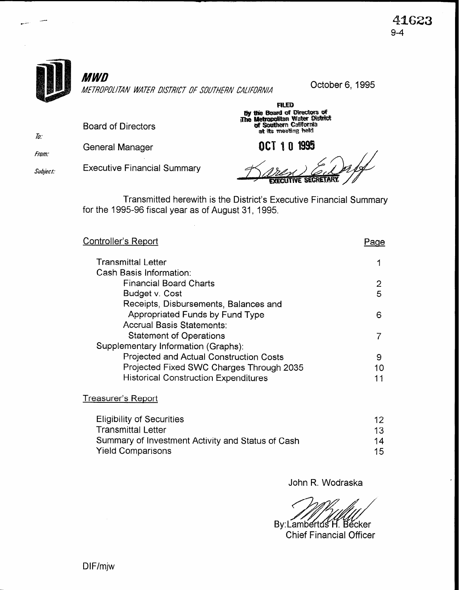



Board of Directors

from. General Manager

 $\bar{w}$ 

Subject. Executive Financial Summary

OCT 10 1995

**FILED** 

Transmitted herewith is the District's Executive Financial Summary for the 1995-96 fiscal year as of August 31, 1995.

| Controller's Report                         |                           |
|---------------------------------------------|---------------------------|
| <b>Transmittal Letter</b>                   |                           |
| Cash Basis Information:                     |                           |
| <b>Financial Board Charts</b>               | $\mathbf{2}^{\mathsf{I}}$ |
| Budget v. Cost                              | 5                         |
| Receipts, Disbursements, Balances and       |                           |
| Appropriated Funds by Fund Type             | 6                         |
| <b>Accrual Basis Statements:</b>            |                           |
| <b>Statement of Operations</b>              |                           |
| Supplementary Information (Graphs):         |                           |
| Projected and Actual Construction Costs     | 9                         |
| Projected Fixed SWC Charges Through 2035    | 10                        |
| <b>Historical Construction Expenditures</b> | 11                        |
| Treasurer's Renort                          |                           |

#### Treasurer's Report

| <b>Eligibility of Securities</b>                  | 12 |
|---------------------------------------------------|----|
| <b>Transmittal Letter</b>                         | 13 |
| Summary of Investment Activity and Status of Cash | 14 |
| <b>Yield Comparisons</b>                          | 15 |

John R. Wodraska

By:Lambertus H. Becker Chief Financial Officer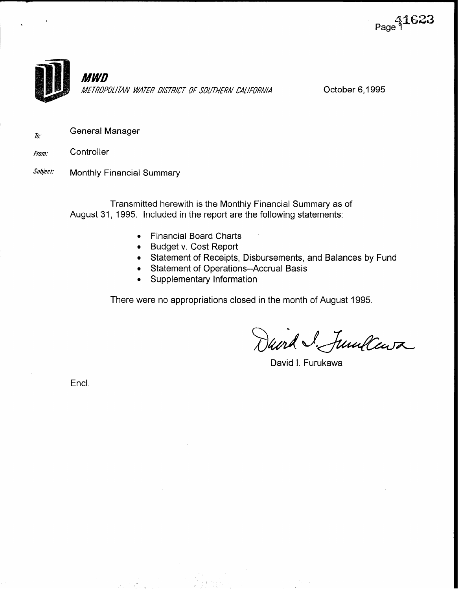

To: General Manager

- from. **Controller**
- Subject: Monthly Financial Summary

Transmitted herewith is the Monthly Financial Summary as of August 31, 1995. Included in the report are the following statements:

- Financial Board Charts
- Budget v. Cost Report
- Statement of Receipts, Disbursements, and Balances by Fund
- Statement of Operations--Accrual Basis
- Supplementary Information

There were no appropriations closed in the month of August 1995.

Durd I. Junkens

David I. Furukawa

Encl.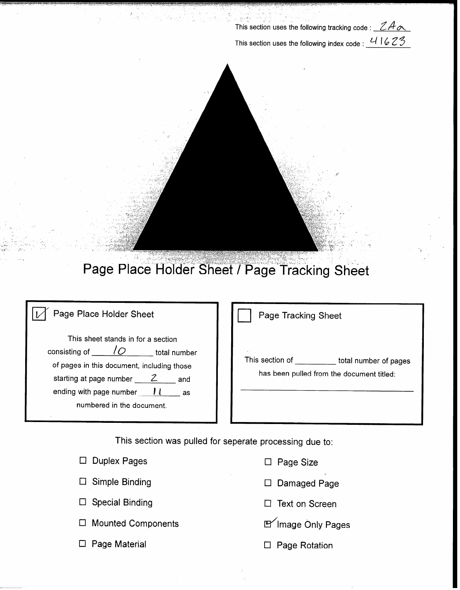This section uses the following tracking code :  $ZA$ This section uses the following index code :  $41623$ 



. r.

# Page Place Holder Sheet / Page Tracking Sheet

### Page Place Holder Sheet

This sheet stands in for a section consisting of  $\overline{\phantom{a}}/\overline{O}$  total number of pages in this document, including those starting at page number  $2$  and ending with page number  $\mathcal{U}$  as numbered in the document.

|  | Page Tracking Sheet |  |
|--|---------------------|--|
|  |                     |  |

This section of \_\_\_\_\_\_\_\_\_\_ total number of pages has been pulled from the document titled:

This section was pulled for seperate processing due to:

| $\Box$ Duplex Pages       | $\Box$ Page Size                  |
|---------------------------|-----------------------------------|
| $\Box$ Simple Binding     | $\epsilon$<br>$\Box$ Damaged Page |
| $\Box$ Special Binding    | $\Box$ Text on Screen             |
| $\Box$ Mounted Components | E Image Only Pages                |
| $\Box$ Page Material      | $\Box$ Page Rotation              |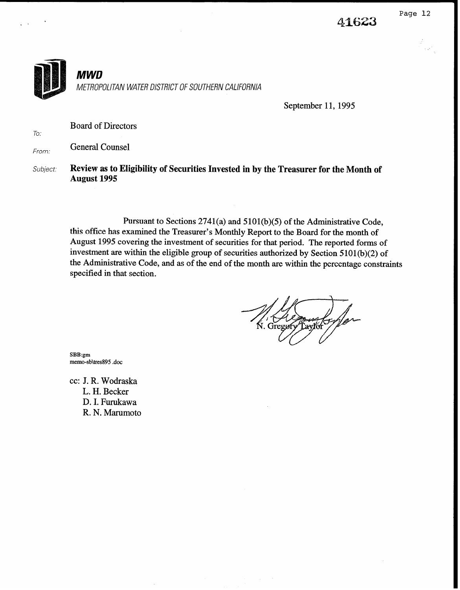41623



September 11, 1995

Board of Directors

From: **General Counsel** 

To:

Subject: Review as to Eligibility of Securities Invested in by the Treasurer for the Month of August 1995

> Pursuant to Sections 2741(a) and 5101(b)(5) of the Administrative Code, this office has examined the Treasurer's Monthly Report to the Board for the month of August 1995 covering the investment of securities for that period. The reported forms of investment are within the eligible group of securities authorized by Section 5101 (b)(2) of the Administrative Code, and as of the end of the month are within the percentage constraints specified in that section.

SBB:gm memo-sb\tres895 .doc

cc: J. R. Wodraska L. H. Becker D. I. Furukawa R. N. Marumoto Page 12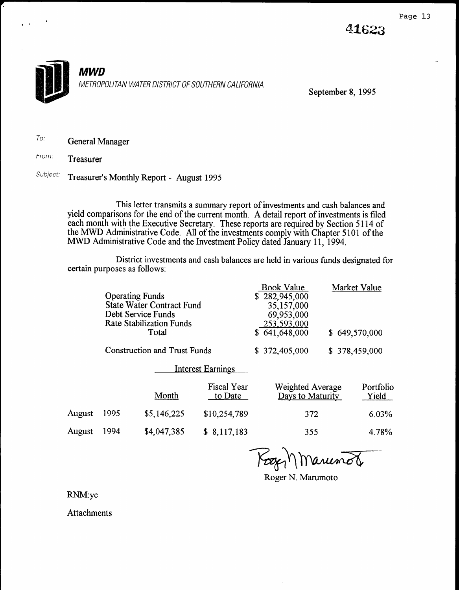

September 8, 1995

To: General Manager

From: Treasurer

Subject: Treasurer's Monthly Report - August 1995

This letter transmits a summary report of investments and cash balances and yield comparisons for the end of the current month. A detail report of investments is filed each month with the Executive Secretary. These reports are required by Section 5 114 of the MWD Administrative Code. All of the investments comply with Chapter 5 101 of the MWD Administrative Code and the Investment Policy dated January 11, 1994.

District investments and cash balances are held in various funds designated for certain purposes as follows:

| <b>Operating Funds</b><br><b>State Water Contract Fund</b><br>Debt Service Funds<br><b>Rate Stabilization Funds</b><br>Total<br><b>Construction and Trust Funds</b> |      |             | <b>Book Value</b><br>\$282,945,000<br>35,157,000<br>69,953,000<br>253,593,000<br>\$641,648,000<br>\$372,405,000 | Market Value<br>\$649,570,000<br>\$378,459,000 |                    |
|---------------------------------------------------------------------------------------------------------------------------------------------------------------------|------|-------------|-----------------------------------------------------------------------------------------------------------------|------------------------------------------------|--------------------|
|                                                                                                                                                                     |      |             | <b>Interest Earnings</b>                                                                                        |                                                |                    |
|                                                                                                                                                                     |      | Month       | <b>Fiscal Year</b><br>to Date                                                                                   | Weighted Average<br>Days to Maturity           | Portfolio<br>Yield |
| August                                                                                                                                                              | 1995 | \$5,146,225 | \$10,254,789                                                                                                    | 372                                            | 6.03%              |
| August                                                                                                                                                              | 1994 | \$4,047,385 | 8,117,183<br>S.                                                                                                 | 355                                            | 4.78%              |

Koger N. Marianot

RNM:yc

Attachments

--